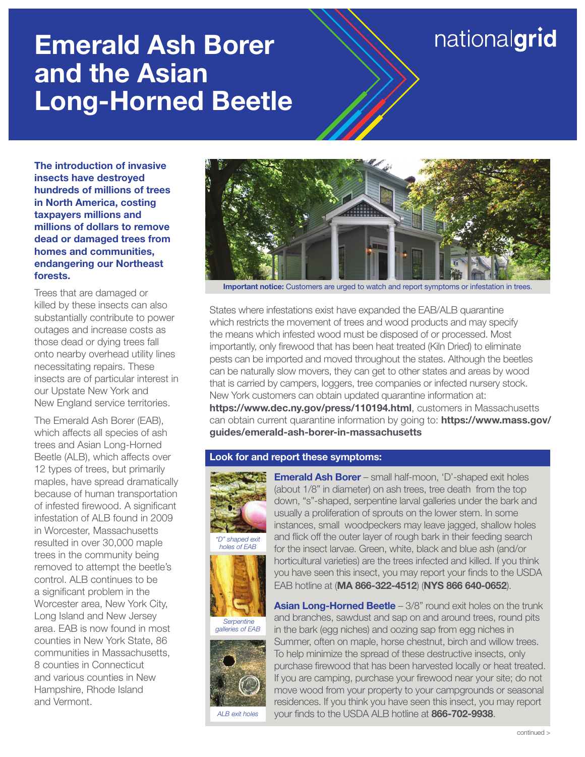# Emerald Ash Borer and the Asian Long-Horned Beetle

## nationalgrid

The introduction of invasive insects have destroyed hundreds of millions of trees in North America, costing taxpayers millions and millions of dollars to remove dead or damaged trees from homes and communities, endangering our Northeast forests.

Trees that are damaged or killed by these insects can also substantially contribute to power outages and increase costs as those dead or dying trees fall onto nearby overhead utility lines necessitating repairs. These insects are of particular interest in our Upstate New York and New England service territories.

The Emerald Ash Borer (EAB), which affects all species of ash trees and Asian Long-Horned Beetle (ALB), which affects over 12 types of trees, but primarily maples, have spread dramatically because of human transportation of infested firewood. A significant infestation of ALB found in 2009 in Worcester, Massachusetts resulted in over 30,000 maple trees in the community being removed to attempt the beetle's control. ALB continues to be a significant problem in the Worcester area, New York City, Long Island and New Jersey area. EAB is now found in most counties in New York State, 86 communities in Massachusetts, 8 counties in Connecticut and various counties in New Hampshire, Rhode Island and Vermont.



Important notice: Customers are urged to watch and report symptoms or infestation in trees.

States where infestations exist have expanded the EAB/ALB quarantine which restricts the movement of trees and wood products and may specify the means which infested wood must be disposed of or processed. Most importantly, only firewood that has been heat treated (Kiln Dried) to eliminate pests can be imported and moved throughout the states. Although the beetles can be naturally slow movers, they can get to other states and areas by wood that is carried by campers, loggers, tree companies or infected nursery stock. New York customers can obtain updated quarantine information at: https://www.dec.ny.gov/press/110194.html, customers in Massachusetts can obtain current quarantine information by going to: https://www.mass.gov/ guides/emerald-ash-borer-in-massachusetts

#### Look for and report these symptoms:



*"D" shaped exit holes of EAB*



 *Serpentine galleries of EAB*



*ALB exit holes*

**Emerald Ash Borer** – small half-moon, 'D'-shaped exit holes (about 1/8" in diameter) on ash trees, tree death from the top down, "s"-shaped, serpentine larval galleries under the bark and usually a proliferation of sprouts on the lower stem. In some instances, small woodpeckers may leave jagged, shallow holes and flick off the outer layer of rough bark in their feeding search for the insect larvae. Green, white, black and blue ash (and/or horticultural varieties) are the trees infected and killed. If you think you have seen this insect, you may report your finds to the USDA EAB hotline at (MA 866-322-4512) (NYS 866 640-0652).

**Asian Long-Horned Beetle** – 3/8" round exit holes on the trunk and branches, sawdust and sap on and around trees, round pits in the bark (egg niches) and oozing sap from egg niches in Summer, often on maple, horse chestnut, birch and willow trees. To help minimize the spread of these destructive insects, only purchase firewood that has been harvested locally or heat treated. If you are camping, purchase your firewood near your site; do not move wood from your property to your campgrounds or seasonal residences. If you think you have seen this insect, you may report your finds to the USDA ALB hotline at 866-702-9938.